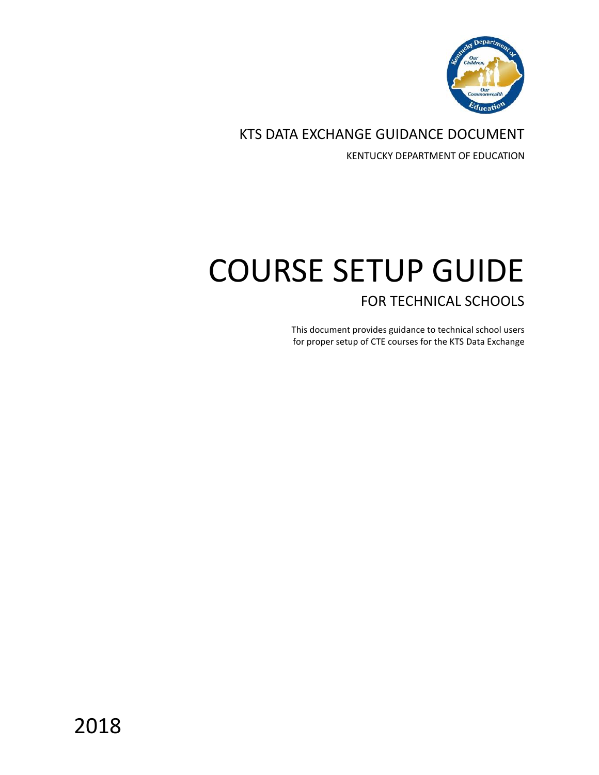

KTS DATA EXCHANGE GUIDANCE DOCUMENT

KENTUCKY DEPARTMENT OF EDUCATION

# COURSE SETUP GUIDE FOR TECHNICAL SCHOOLS

This document provides guidance to technical school users for proper setup of CTE courses for the KTS Data Exchange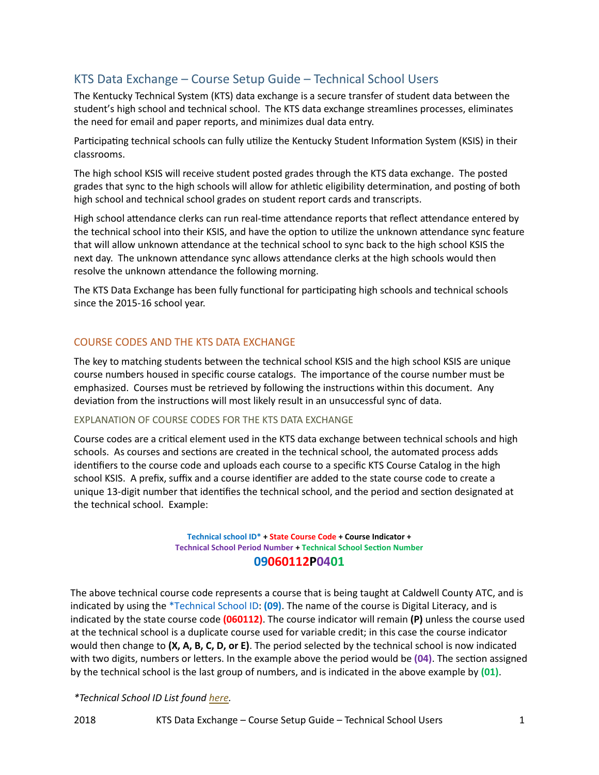# KTS Data Exchange – Course Setup Guide – Technical School Users

The Kentucky Technical System (KTS) data exchange is a secure transfer of student data between the student's high school and technical school. The KTS data exchange streamlines processes, eliminates the need for email and paper reports, and minimizes dual data entry.

Participating technical schools can fully utilize the Kentucky Student Information System (KSIS) in their classrooms.

The high school KSIS will receive student posted grades through the KTS data exchange. The posted grades that sync to the high schools will allow for athletic eligibility determination, and posting of both high school and technical school grades on student report cards and transcripts.

High school attendance clerks can run real-time attendance reports that reflect attendance entered by the technical school into their KSIS, and have the option to utilize the unknown attendance sync feature that will allow unknown attendance at the technical school to sync back to the high school KSIS the next day. The unknown attendance sync allows attendance clerks at the high schools would then resolve the unknown attendance the following morning.

The KTS Data Exchange has been fully functional for participating high schools and technical schools since the 2015-16 school year.

# COURSE CODES AND THE KTS DATA EXCHANGE

The key to matching students between the technical school KSIS and the high school KSIS are unique course numbers housed in specific course catalogs. The importance of the course number must be emphasized. Courses must be retrieved by following the instructions within this document. Any deviation from the instructions will most likely result in an unsuccessful sync of data.

#### EXPLANATION OF COURSE CODES FOR THE KTS DATA EXCHANGE

Course codes are a critical element used in the KTS data exchange between technical schools and high schools. As courses and sections are created in the technical school, the automated process adds identifiers to the course code and uploads each course to a specific KTS Course Catalog in the high school KSIS. A prefix, suffix and a course identifier are added to the state course code to create a unique 13-digit number that identifies the technical school, and the period and section designated at the technical school. Example:

> **Technical school ID\* + State Course Code + Course Indicator + Technical School Period Number + Technical School Section Number 09060112P0401**

The above technical course code represents a course that is being taught at Caldwell County ATC, and is indicated by using the \*Technical School ID: **(09)**. The name of the course is Digital Literacy, and is indicated by the state course code **(060112)**. The course indicator will remain **(P)** unless the course used at the technical school is a duplicate course used for variable credit; in this case the course indicator would then change to **(X, A, B, C, D, or E)**. The period selected by the technical school is now indicated with two digits, numbers or letters. In the example above the period would be **(04)**. The section assigned by the technical school is the last group of numbers, and is indicated in the above example by **(01)**.

#### *\*Technical School ID List foun[d here.](https://education.ky.gov/districts/tech/sis/Documents/KTS_Technical_School_ID_Numbers.pdf)*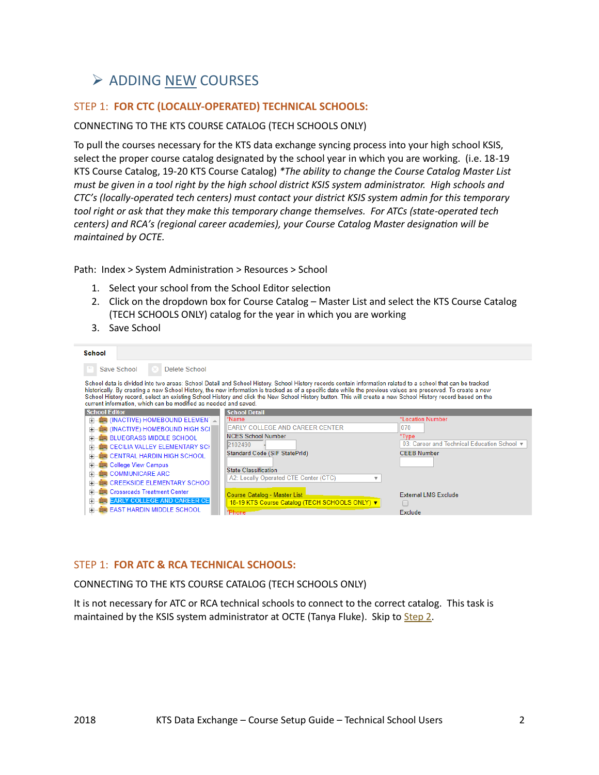# $\triangleright$  ADDING NEW COURSES

# STEP 1: **FOR CTC (LOCALLY-OPERATED) TECHNICAL SCHOOLS:**

#### CONNECTING TO THE KTS COURSE CATALOG (TECH SCHOOLS ONLY)

To pull the courses necessary for the KTS data exchange syncing process into your high school KSIS, select the proper course catalog designated by the school year in which you are working. (i.e. 18-19 KTS Course Catalog, 19-20 KTS Course Catalog) *\*The ability to change the Course Catalog Master List must be given in a tool right by the high school district KSIS system administrator. High schools and CTC's (locally-operated tech centers) must contact your district KSIS system admin for this temporary tool right or ask that they make this temporary change themselves. For ATCs (state-operated tech centers) and RCA's (regional career academies), your Course Catalog Master designation will be maintained by OCTE.*

Path: Index > System Administration > Resources > School

- 1. Select your school from the School Editor selection
- 2. Click on the dropdown box for Course Catalog Master List and select the KTS Course Catalog (TECH SCHOOLS ONLY) catalog for the year in which you are working
- 3. Save School

| School                                                                                                                                                                                                                                                                                                                                                                      |                                                                                                                                                                                                                                                                                                                                                                                                                                                                                             |                                                                                                        |
|-----------------------------------------------------------------------------------------------------------------------------------------------------------------------------------------------------------------------------------------------------------------------------------------------------------------------------------------------------------------------------|---------------------------------------------------------------------------------------------------------------------------------------------------------------------------------------------------------------------------------------------------------------------------------------------------------------------------------------------------------------------------------------------------------------------------------------------------------------------------------------------|--------------------------------------------------------------------------------------------------------|
| Save School<br>Delete School                                                                                                                                                                                                                                                                                                                                                |                                                                                                                                                                                                                                                                                                                                                                                                                                                                                             |                                                                                                        |
| current information, which can be modified as needed and saved.                                                                                                                                                                                                                                                                                                             | School data is divided into two areas: School Detail and School History. School History records contain information related to a school that can be tracked<br>historically. By creating a new School History, the new information is tracked as of a specific date while the previous values are preserved. To create a new<br>School History record, select an existing School History and click the New School History button. This will create a new School History record based on the |                                                                                                        |
| <b>School Editor</b>                                                                                                                                                                                                                                                                                                                                                        | <b>School Detail</b>                                                                                                                                                                                                                                                                                                                                                                                                                                                                        |                                                                                                        |
| <b>IN (INACTIVE) HOMEBOUND ELEMEN</b> A<br><b>BUG</b> (INACTIVE) HOMEBOUND HIGH SCI<br><b>BLUEGRASS MIDDLE SCHOOL</b><br>圧<br><b>EXECCILIA VALLEY ELEMENTARY SCH</b><br>$\overline{+}$<br><b>EXECENTRAL HARDIN HIGH SCHOOL</b><br>曱<br><b>EE</b> College View Campus<br>曱<br><b>EXECOMMUNICARE ARC</b><br>$\overline{+}$<br><b>EXECUTE CREEKSIDE ELEMENTARY SCHOOL</b><br>围 | *Name<br><b>EARLY COLLEGE AND CAREER CENTER</b><br><b>NCES School Number</b><br>2102490<br>Standard Code (SIF StatePrId)<br><b>State Classification</b><br>A2: Locally Operated CTE Center (CTC)<br>▼                                                                                                                                                                                                                                                                                       | *Location Number<br> 070<br>*Type<br>03: Career and Technical Education School ▼<br><b>CEEB Number</b> |
| <b>Crossroads Treatment Center</b><br>匣<br><b>EARLY COLLEGE AND CAREER CE</b><br>$\overline{+}$<br><b>EAST HARDIN MIDDLE SCHOOL</b><br>田                                                                                                                                                                                                                                    | Course Catalog - Master List<br>18-19 KTS Course Catalog (TECH SCHOOLS ONLY) ▼<br>'Phone                                                                                                                                                                                                                                                                                                                                                                                                    | <b>External LMS Exclude</b><br>Exclude                                                                 |

## STEP 1: **FOR ATC & RCA TECHNICAL SCHOOLS:**

CONNECTING TO THE KTS COURSE CATALOG (TECH SCHOOLS ONLY)

It is not necessary for ATC or RCA technical schools to connect to the correct catalog. This task is maintained by the KSIS system administrator at OCTE (Tanya Fluke). Skip to [Step 2.](#page-3-0)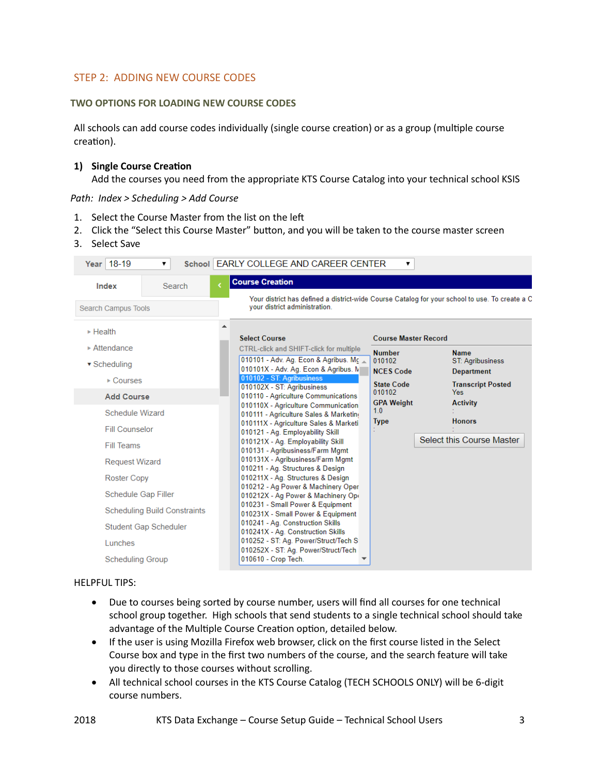# <span id="page-3-0"></span>STEP 2: ADDING NEW COURSE CODES

#### **TWO OPTIONS FOR LOADING NEW COURSE CODES**

All schools can add course codes individually (single course creation) or as a group (multiple course creation).

#### **1) Single Course Creation**

Add the courses you need from the appropriate KTS Course Catalog into your technical school KSIS

*Path: Index > Scheduling > Add Course*

- 1. Select the Course Master from the list on the left
- 2. Click the "Select this Course Master" button, and you will be taken to the course master screen
- 3. Select Save

| Year 18-19                                                                                 | ▼.                                                                  | School EARLY COLLEGE AND CAREER CENTER                                                                                                                                                      |                                                                                                | ▼                           |                                                      |
|--------------------------------------------------------------------------------------------|---------------------------------------------------------------------|---------------------------------------------------------------------------------------------------------------------------------------------------------------------------------------------|------------------------------------------------------------------------------------------------|-----------------------------|------------------------------------------------------|
| Index                                                                                      | Search                                                              | <b>Course Creation</b>                                                                                                                                                                      |                                                                                                |                             |                                                      |
| Search Campus Tools                                                                        |                                                                     | your district administration.                                                                                                                                                               | Your district has defined a district-wide Course Catalog for your school to use. To create a C |                             |                                                      |
| $\triangleright$ Health                                                                    |                                                                     | <b>Select Course</b>                                                                                                                                                                        |                                                                                                | <b>Course Master Record</b> |                                                      |
| $\triangleright$ Attendance<br>$\blacktriangledown$ Scheduling<br>$\triangleright$ Courses |                                                                     | <b>CTRL-click and SHIFT-click for multiple</b><br>010101 - Adv. Ag. Econ & Agribus. Mc<br>010101X - Adv. Ag. Econ & Agribus. M<br>010102 - ST: Agribusiness                                 | <b>Number</b><br>010102<br><b>NCES Code</b>                                                    |                             | <b>Name</b><br>ST: Agribusiness<br><b>Department</b> |
| <b>Add Course</b><br>Schedule Wizard                                                       |                                                                     | 010102X - ST: Agribusiness<br>010110 - Agriculture Communications<br>010110X - Agriculture Communication                                                                                    | <b>State Code</b><br>010102<br><b>GPA Weight</b><br>1.0                                        |                             | <b>Transcript Posted</b><br>Yes<br><b>Activity</b>   |
| <b>Fill Counselor</b><br>Fill Teams                                                        |                                                                     | 010111 - Agriculture Sales & Marketing<br>010111X - Agriculture Sales & Marketi<br>010121 - Ag. Employability Skill<br>010121X - Ag. Employability Skill<br>010131 - Agribusiness/Farm Mgmt | <b>Type</b>                                                                                    |                             | <b>Honors</b><br>Select this Course Master           |
| <b>Request Wizard</b><br><b>Roster Copy</b>                                                |                                                                     | 010131X - Agribusiness/Farm Mgmt<br>010211 - Ag. Structures & Design<br>010211X - Ag. Structures & Design                                                                                   |                                                                                                |                             |                                                      |
| Schedule Gap Filler                                                                        |                                                                     | 010212 - Ag Power & Machinery Oper<br>010212X - Ag Power & Machinery Ope<br>010231 - Small Power & Equipment                                                                                |                                                                                                |                             |                                                      |
|                                                                                            | <b>Scheduling Build Constraints</b><br><b>Student Gap Scheduler</b> | 010231X - Small Power & Equipment<br>010241 - Ag. Construction Skills<br>010241X - Ag. Construction Skills                                                                                  |                                                                                                |                             |                                                      |
| Lunches<br>Scheduling Group                                                                |                                                                     | 010252 - ST: Ag. Power/Struct/Tech S<br>010252X - ST: Ag. Power/Struct/Tech<br>010610 - Crop Tech.                                                                                          |                                                                                                |                             |                                                      |

#### HELPFUL TIPS:

- Due to courses being sorted by course number, users will find all courses for one technical school group together. High schools that send students to a single technical school should take advantage of the Multiple Course Creation option, detailed below.
- If the user is using Mozilla Firefox web browser, click on the first course listed in the Select Course box and type in the first two numbers of the course, and the search feature will take you directly to those courses without scrolling.
- All technical school courses in the KTS Course Catalog (TECH SCHOOLS ONLY) will be 6-digit course numbers.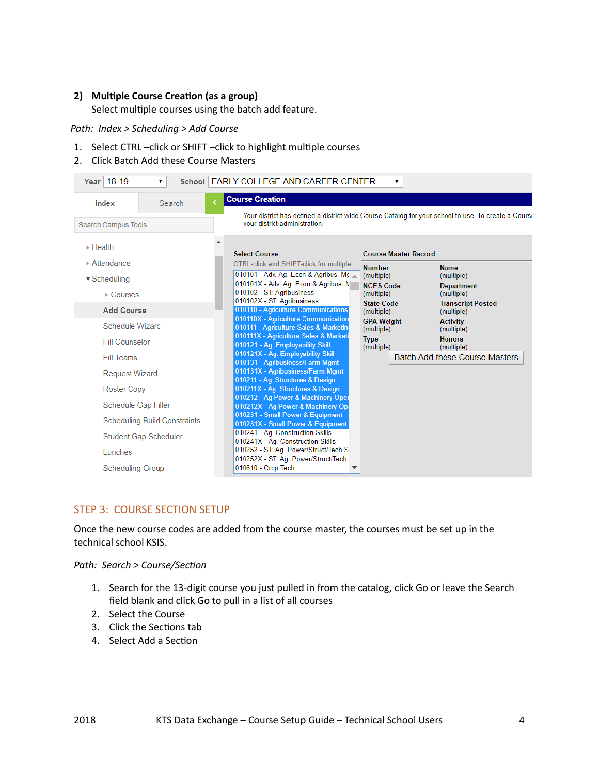#### **2) Multiple Course Creation (as a group)**

Select multiple courses using the batch add feature.

*Path: Index > Scheduling > Add Course*

1. Select CTRL –click or SHIFT –click to highlight multiple courses

#### 2. Click Batch Add these Course Masters

| Year 18-19<br>▼                                                                                      | School   EARLY COLLEGE AND CAREER CENTER                                                                                                                                    | ▼                                                                              |                                                                                                     |
|------------------------------------------------------------------------------------------------------|-----------------------------------------------------------------------------------------------------------------------------------------------------------------------------|--------------------------------------------------------------------------------|-----------------------------------------------------------------------------------------------------|
| Index<br>Search                                                                                      | <b>Course Creation</b><br>your district administration.                                                                                                                     |                                                                                | Your district has defined a district-wide Course Catalog for your school to use. To create a Course |
| <b>Search Campus Tools</b><br>$\triangleright$ Health<br>$\triangleright$ Attendance<br>▼ Scheduling | <b>Select Course</b><br><b>CTRL-click and SHIFT-click for multiple</b><br>010101 - Adv. Ag. Econ & Agribus. Mc<br>010101X - Adv. Ag. Econ & Agribus. N                      | <b>Course Master Record</b><br><b>Number</b><br>(multiple)<br><b>NCES Code</b> | <b>Name</b><br>(multiple)<br><b>Department</b>                                                      |
| ▶ Courses<br><b>Add Course</b>                                                                       | 010102 - ST: Agribusiness<br>010102X - ST: Agribusiness<br>010110 - Agriculture Communications<br>010110X - Agriculture Communication                                       | (multiple)<br><b>State Code</b><br>(multiple)<br><b>GPA Weight</b>             | (multiple)<br><b>Transcript Posted</b><br>(multiple)<br><b>Activity</b>                             |
| Schedule Wizard<br><b>Fill Counselor</b>                                                             | 010111 - Agriculture Sales & Marketin<br>010111X - Agriculture Sales & Marketi<br>010121 - Ag. Employability Skill<br>010121X - Ag. Employability Skill                     | (multiple)<br><b>Type</b><br>(multiple)                                        | (multiple)<br><b>Honors</b><br>(multiple)                                                           |
| Fill Teams<br><b>Request Wizard</b><br><b>Roster Copy</b>                                            | 010131 - Agribusiness/Farm Mgmt<br>010131X - Agribusiness/Farm Mgmt<br>010211 - Ag. Structures & Design<br>010211X - Ag. Structures & Design                                |                                                                                | <b>Batch Add these Course Masters</b>                                                               |
| Schedule Gap Filler<br><b>Scheduling Build Constraints</b>                                           | 010212 - Ag Power & Machinery Oper<br>010212X - Ag Power & Machinery Op<br>010231 - Small Power & Equipment<br>010231X - Small Power & Equipment                            |                                                                                |                                                                                                     |
| <b>Student Gap Scheduler</b><br>Lunches<br><b>Scheduling Group</b>                                   | 010241 - Ag. Construction Skills<br>010241X - Ag. Construction Skills<br>010252 - ST: Ag. Power/Struct/Tech S<br>010252X - ST: Ag. Power/Struct/Tech<br>010610 - Crop Tech. |                                                                                |                                                                                                     |

#### <span id="page-4-0"></span>STEP 3: COURSE SECTION SETUP

Once the new course codes are added from the course master, the courses must be set up in the technical school KSIS.

*Path: Search > Course/Section*

- 1. Search for the 13-digit course you just pulled in from the catalog, click Go or leave the Search field blank and click Go to pull in a list of all courses
- 2. Select the Course
- 3. Click the Sections tab
- 4. Select Add a Section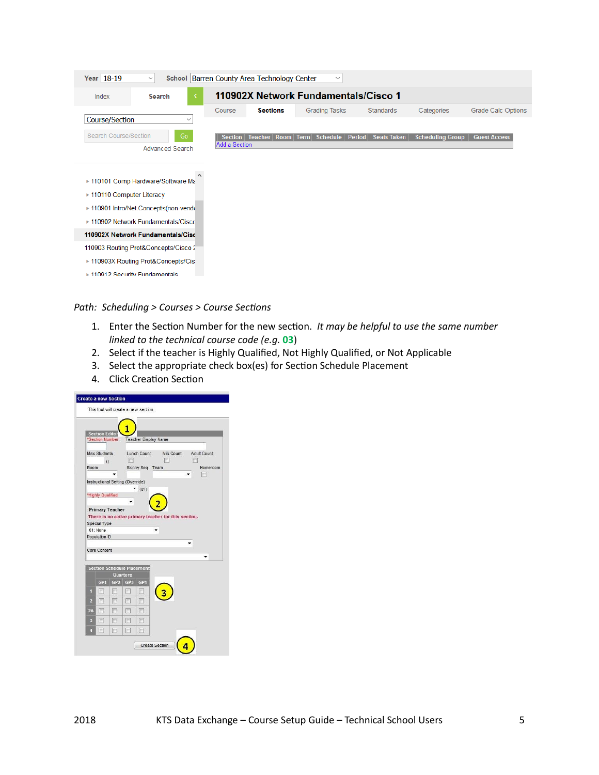| Year 18-19                                                                                                                                                                              | $\boldsymbol{\vee}$    |                | School Barren County Area Technology Center | $\checkmark$                         |                    |                         |                           |
|-----------------------------------------------------------------------------------------------------------------------------------------------------------------------------------------|------------------------|----------------|---------------------------------------------|--------------------------------------|--------------------|-------------------------|---------------------------|
| Index                                                                                                                                                                                   | Search                 |                |                                             | 110902X Network Fundamentals/Cisco 1 |                    |                         |                           |
|                                                                                                                                                                                         |                        | Course         | <b>Sections</b>                             | <b>Grading Tasks</b>                 | <b>Standards</b>   | Categories              | <b>Grade Calc Options</b> |
| Course/Section                                                                                                                                                                          | $\checkmark$           |                |                                             |                                      |                    |                         |                           |
| Search Course/Section                                                                                                                                                                   | Go                     | <b>Section</b> | <b>Teacher</b><br>Room Term                 | <b>Schedule</b><br>Period            | <b>Seats Taken</b> | <b>Scheduling Group</b> | <b>Guest Access</b>       |
|                                                                                                                                                                                         | <b>Advanced Search</b> | Add a Section  |                                             |                                      |                    |                         |                           |
| ▶ 110101 Comp Hardware/Software Ma<br>▶ 110110 Computer Literacy<br>▶ 110901 Intro/Net.Concepts(non-vendom><br>▶ 110902 Network Fundamentals/Cisco<br>110902X Network Fundamentals/Cisc |                        |                |                                             |                                      |                    |                         |                           |
| 110903 Routing Prot&Concepts/Cisco 2                                                                                                                                                    |                        |                |                                             |                                      |                    |                         |                           |
| ▶ 110903X Routing Prot&Concepts/Cis                                                                                                                                                     |                        |                |                                             |                                      |                    |                         |                           |
| ► 110912 Security Fundamentals                                                                                                                                                          |                        |                |                                             |                                      |                    |                         |                           |

*Path: Scheduling > Courses > Course Sections*

- 1. Enter the Section Number for the new section. *It may be helpful to use the same number linked to the technical course code (e.g.* **03**)
- 2. Select if the teacher is Highly Qualified, Not Highly Qualified, or Not Applicable
- 3. Select the appropriate check box(es) for Section Schedule Placement
- 4. Click Creation Section

|                |                          |                        |                                                      | This tool will create a new section. |            |             |
|----------------|--------------------------|------------------------|------------------------------------------------------|--------------------------------------|------------|-------------|
|                |                          |                        |                                                      |                                      |            |             |
|                | <b>Section Editor</b>    | *Section Number        |                                                      | <b>Teacher Display Name</b>          |            |             |
|                |                          |                        |                                                      |                                      |            |             |
|                | <b>Max Students</b>      |                        |                                                      | Lunch Count                          | Milk Count | Adult Count |
| Room           | $\theta$                 |                        |                                                      | Skinny Seq Team                      |            | Homeroom    |
|                |                          |                        |                                                      |                                      |            |             |
|                |                          |                        | Instructional Setting (Override)                     |                                      |            |             |
|                | "Highly Qualified        |                        |                                                      | (01)                                 |            |             |
|                |                          |                        |                                                      |                                      |            |             |
|                |                          | <b>Primary Teacher</b> |                                                      |                                      |            |             |
|                |                          |                        |                                                      |                                      |            |             |
|                |                          |                        | There is no active primary teacher for this section. |                                      |            |             |
|                | Special Type<br>01: None |                        |                                                      |                                      |            |             |
|                | Population ID            |                        |                                                      |                                      |            |             |
|                |                          |                        |                                                      |                                      |            |             |
|                | Core Content             |                        |                                                      |                                      |            |             |
|                |                          |                        |                                                      |                                      |            |             |
|                |                          |                        | <b>Section Schedule Placement</b><br>Quarters        |                                      |            |             |
|                | GP <sub>1</sub>          |                        | GP2 GP3                                              | GP4                                  |            |             |
| 1              | m                        |                        |                                                      | n                                    |            |             |
| $\overline{2}$ | 两                        | m                      | 同                                                    | $\Box$                               |            |             |
| 2A             | 冊                        | F                      | 同                                                    | n                                    |            |             |
| 3              | <b>I</b>                 | (m)                    | 同                                                    | m                                    |            |             |
| л              | m                        | F                      | 俩                                                    | m                                    |            |             |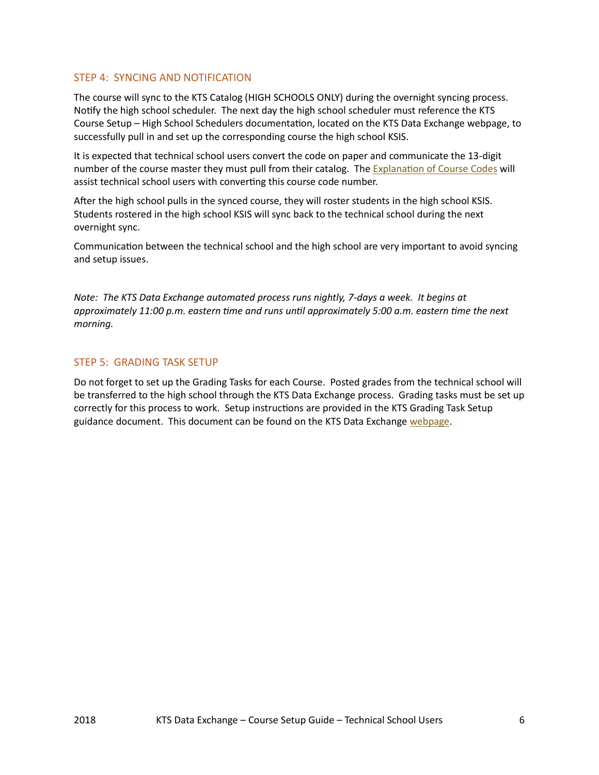#### <span id="page-6-0"></span>STEP 4: SYNCING AND NOTIFICATION

The course will sync to the KTS Catalog (HIGH SCHOOLS ONLY) during the overnight syncing process. Notify the high school scheduler. The next day the high school scheduler must reference the KTS Course Setup – High School Schedulers documentation, located on the KTS Data Exchange webpage, to successfully pull in and set up the corresponding course the high school KSIS.

It is expected that technical school users convert the code on paper and communicate the 13-digit number of the course master they must pull from their catalog. The **Explanation of Course Codes** will assist technical school users with converting this course code number.

After the high school pulls in the synced course, they will roster students in the high school KSIS. Students rostered in the high school KSIS will sync back to the technical school during the next overnight sync.

Communication between the technical school and the high school are very important to avoid syncing and setup issues.

*Note: The KTS Data Exchange automated process runs nightly, 7-days a week. It begins at approximately 11:00 p.m. eastern time and runs until approximately 5:00 a.m. eastern time the next morning.*

# STEP 5: GRADING TASK SETUP

Do not forget to set up the Grading Tasks for each Course. Posted grades from the technical school will be transferred to the high school through the KTS Data Exchange process. Grading tasks must be set up correctly for this process to work. Setup instructions are provided in the KTS Grading Task Setup guidance document. This document can be found on the KTS Data Exchange [webpage.](https://education.ky.gov/districts/tech/sis/Pages/KSIS-KTS-Data-Exchange.aspx)